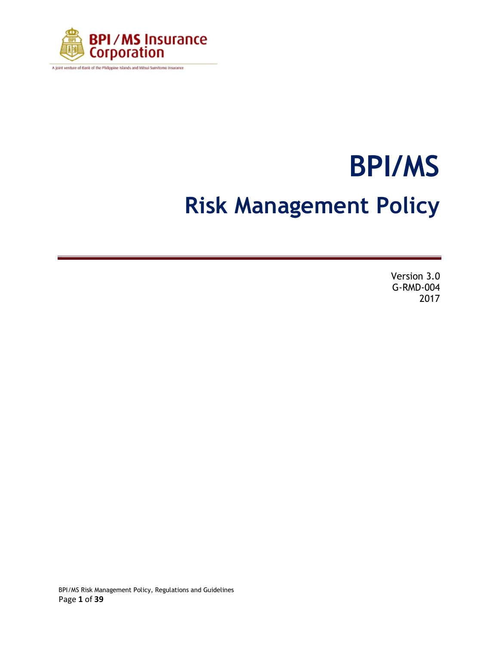

A joint venture of Bank of the Philippine Islands and Mitsui Sumitomo Insurance

# **BPI/MS Risk Management Policy**

Version 3.0 G-RMD-004 2017

BPI/MS Risk Management Policy, Regulations and Guidelines Page **1** of **39**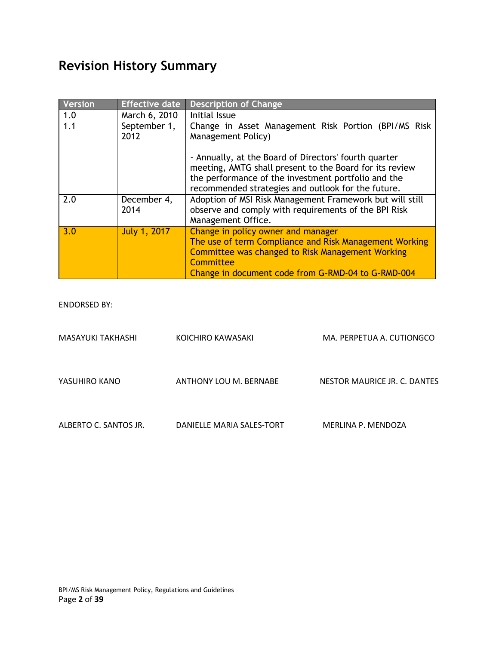# **Revision History Summary**

| <b>Version</b> | <b>Effective date</b> | <b>Description of Change</b>                                                                                                                                                                                                  |  |  |
|----------------|-----------------------|-------------------------------------------------------------------------------------------------------------------------------------------------------------------------------------------------------------------------------|--|--|
| 1.0            | March 6, 2010         | Initial Issue                                                                                                                                                                                                                 |  |  |
| 1.1            | September 1,<br>2012  | Change in Asset Management Risk Portion (BPI/MS Risk<br>Management Policy)                                                                                                                                                    |  |  |
|                |                       | - Annually, at the Board of Directors' fourth quarter<br>meeting, AMTG shall present to the Board for its review<br>the performance of the investment portfolio and the<br>recommended strategies and outlook for the future. |  |  |
| 2.0            | December 4,<br>2014   | Adoption of MSI Risk Management Framework but will still<br>observe and comply with requirements of the BPI Risk<br>Management Office.                                                                                        |  |  |
| 3.0            | <b>July 1, 2017</b>   | Change in policy owner and manager<br>The use of term Compliance and Risk Management Working<br>Committee was changed to Risk Management Working<br>Committee<br>Change in document code from G-RMD-04 to G-RMD-004           |  |  |

ENDORSED BY:

| MASAYUKI TAKHASHI     | KOICHIRO KAWASAKI         | MA. PERPETUA A. CUTIONGCO    |
|-----------------------|---------------------------|------------------------------|
| YASUHIRO KANO         | ANTHONY LOU M. BERNABE    | NESTOR MAURICE JR. C. DANTES |
| ALBERTO C. SANTOS JR. | DANIELLE MARIA SALES-TORT | MERLINA P. MENDOZA           |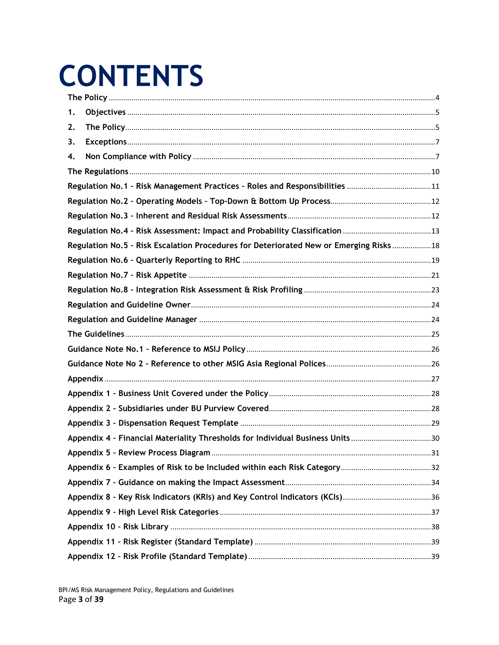# **CONTENTS**

| 1. |                                                                                        |  |
|----|----------------------------------------------------------------------------------------|--|
| 2. |                                                                                        |  |
| 3. |                                                                                        |  |
| 4. |                                                                                        |  |
|    |                                                                                        |  |
|    |                                                                                        |  |
|    |                                                                                        |  |
|    |                                                                                        |  |
|    |                                                                                        |  |
|    | Regulation No.5 - Risk Escalation Procedures for Deteriorated New or Emerging Risks 18 |  |
|    |                                                                                        |  |
|    |                                                                                        |  |
|    |                                                                                        |  |
|    |                                                                                        |  |
|    |                                                                                        |  |
|    |                                                                                        |  |
|    |                                                                                        |  |
|    |                                                                                        |  |
|    |                                                                                        |  |
|    |                                                                                        |  |
|    |                                                                                        |  |
|    |                                                                                        |  |
|    | Appendix 4 - Financial Materiality Thresholds for Individual Business Units 30         |  |
|    |                                                                                        |  |
|    |                                                                                        |  |
|    |                                                                                        |  |
|    |                                                                                        |  |
|    |                                                                                        |  |
|    |                                                                                        |  |
|    |                                                                                        |  |
|    |                                                                                        |  |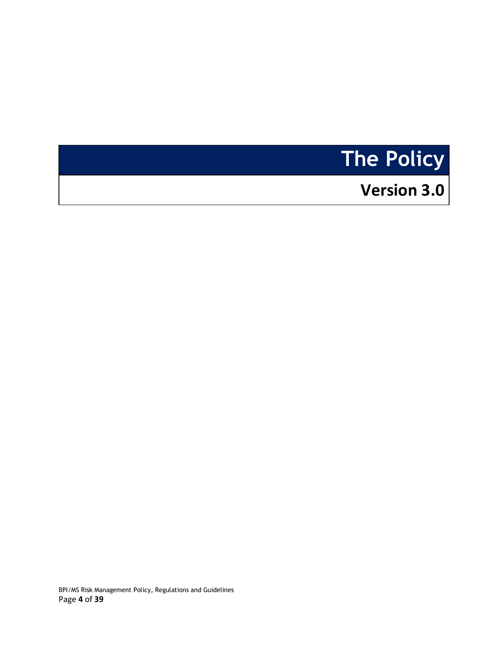# <span id="page-3-0"></span>**The Policy**

# **Version 3.0**

BPI/MS Risk Management Policy, Regulations and Guidelines Page **4** of **39**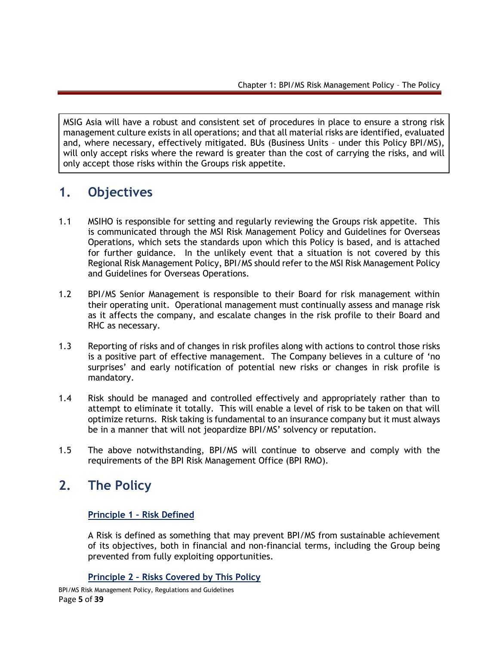MSIG Asia will have a robust and consistent set of procedures in place to ensure a strong risk management culture exists in all operations; and that all material risks are identified, evaluated and, where necessary, effectively mitigated. BUs (Business Units – under this Policy BPI/MS), will only accept risks where the reward is greater than the cost of carrying the risks, and will only accept those risks within the Groups risk appetite.

## <span id="page-4-0"></span>**1. Objectives**

- 1.1 MSIHO is responsible for setting and regularly reviewing the Groups risk appetite. This is communicated through the MSI Risk Management Policy and Guidelines for Overseas Operations, which sets the standards upon which this Policy is based, and is attached for further guidance. In the unlikely event that a situation is not covered by this Regional Risk Management Policy, BPI/MS should refer to the MSI Risk Management Policy and Guidelines for Overseas Operations.
- 1.2 BPI/MS Senior Management is responsible to their Board for risk management within their operating unit. Operational management must continually assess and manage risk as it affects the company, and escalate changes in the risk profile to their Board and RHC as necessary.
- 1.3 Reporting of risks and of changes in risk profiles along with actions to control those risks is a positive part of effective management. The Company believes in a culture of 'no surprises' and early notification of potential new risks or changes in risk profile is mandatory.
- 1.4 Risk should be managed and controlled effectively and appropriately rather than to attempt to eliminate it totally. This will enable a level of risk to be taken on that will optimize returns. Risk taking is fundamental to an insurance company but it must always be in a manner that will not jeopardize BPI/MS' solvency or reputation.
- 1.5 The above notwithstanding, BPI/MS will continue to observe and comply with the requirements of the BPI Risk Management Office (BPI RMO).

## <span id="page-4-1"></span>**2. The Policy**

#### **Principle 1 – Risk Defined**

A Risk is defined as something that may prevent BPI/MS from sustainable achievement of its objectives, both in financial and non-financial terms, including the Group being prevented from fully exploiting opportunities.

#### **Principle 2 – Risks Covered by This Policy**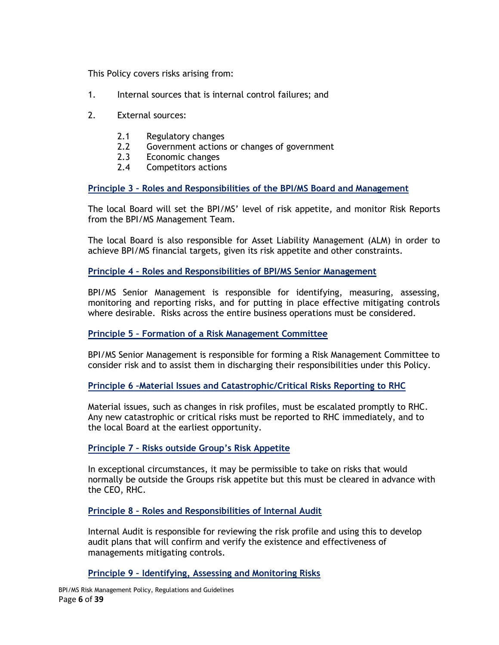This Policy covers risks arising from:

- 1. Internal sources that is internal control failures; and
- 2. External sources:
	- 2.1 Regulatory changes
	- 2.2 Government actions or changes of government
	- 2.3 Economic changes
	- 2.4 Competitors actions

**Principle 3 – Roles and Responsibilities of the BPI/MS Board and Management**

The local Board will set the BPI/MS' level of risk appetite, and monitor Risk Reports from the BPI/MS Management Team.

The local Board is also responsible for Asset Liability Management (ALM) in order to achieve BPI/MS financial targets, given its risk appetite and other constraints.

#### **Principle 4 – Roles and Responsibilities of BPI/MS Senior Management**

BPI/MS Senior Management is responsible for identifying, measuring, assessing, monitoring and reporting risks, and for putting in place effective mitigating controls where desirable. Risks across the entire business operations must be considered.

#### **Principle 5 – Formation of a Risk Management Committee**

BPI/MS Senior Management is responsible for forming a Risk Management Committee to consider risk and to assist them in discharging their responsibilities under this Policy.

#### **Principle 6 –Material Issues and Catastrophic/Critical Risks Reporting to RHC**

Material issues, such as changes in risk profiles, must be escalated promptly to RHC. Any new catastrophic or critical risks must be reported to RHC immediately, and to the local Board at the earliest opportunity.

#### **Principle 7 – Risks outside Group's Risk Appetite**

In exceptional circumstances, it may be permissible to take on risks that would normally be outside the Groups risk appetite but this must be cleared in advance with the CEO, RHC.

**Principle 8 – Roles and Responsibilities of Internal Audit**

Internal Audit is responsible for reviewing the risk profile and using this to develop audit plans that will confirm and verify the existence and effectiveness of managements mitigating controls.

#### **Principle 9 – Identifying, Assessing and Monitoring Risks**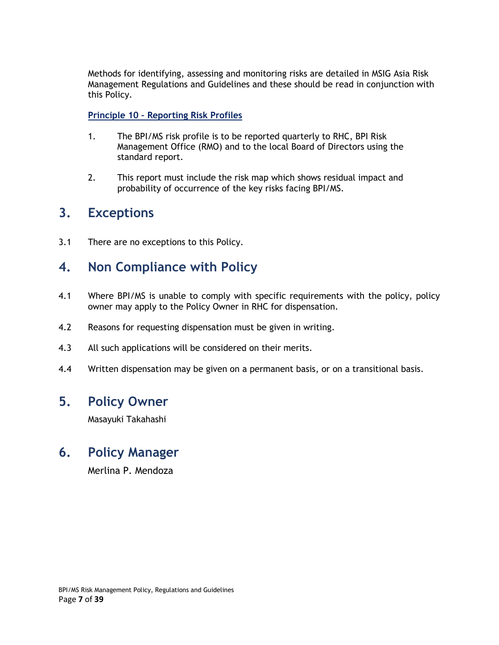Methods for identifying, assessing and monitoring risks are detailed in MSIG Asia Risk Management Regulations and Guidelines and these should be read in conjunction with this Policy.

#### **Principle 10 – Reporting Risk Profiles**

- 1. The BPI/MS risk profile is to be reported quarterly to RHC, BPI Risk Management Office (RMO) and to the local Board of Directors using the standard report.
- 2. This report must include the risk map which shows residual impact and probability of occurrence of the key risks facing BPI/MS.

### <span id="page-6-0"></span>**3. Exceptions**

3.1 There are no exceptions to this Policy.

### <span id="page-6-1"></span>**4. Non Compliance with Policy**

- 4.1 Where BPI/MS is unable to comply with specific requirements with the policy, policy owner may apply to the Policy Owner in RHC for dispensation.
- 4.2 Reasons for requesting dispensation must be given in writing.
- 4.3 All such applications will be considered on their merits.
- 4.4 Written dispensation may be given on a permanent basis, or on a transitional basis.

### **5. Policy Owner**

Masayuki Takahashi

### **6. Policy Manager**

Merlina P. Mendoza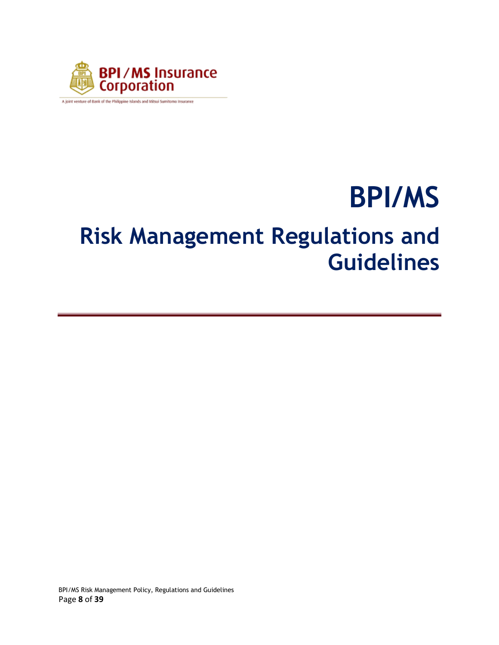

A joint venture of Bank of the Philippine Islands and Mitsui Sumitomo Insurance

# **BPI/MS Risk Management Regulations and Guidelines**

BPI/MS Risk Management Policy, Regulations and Guidelines Page **8** of **39**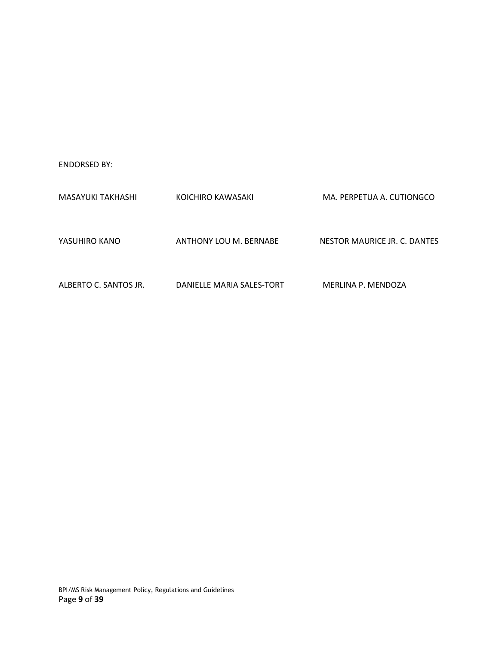ENDORSED BY:

| MASAYUKI TAKHASHI     | KOICHIRO KAWASAKI         | MA. PERPETUA A. CUTIONGCO    |
|-----------------------|---------------------------|------------------------------|
| YASUHIRO KANO         | ANTHONY LOU M. BERNABE    | NESTOR MAURICE JR. C. DANTES |
| ALBERTO C. SANTOS JR. | DANIELLE MARIA SALES-TORT | MERLINA P. MENDOZA           |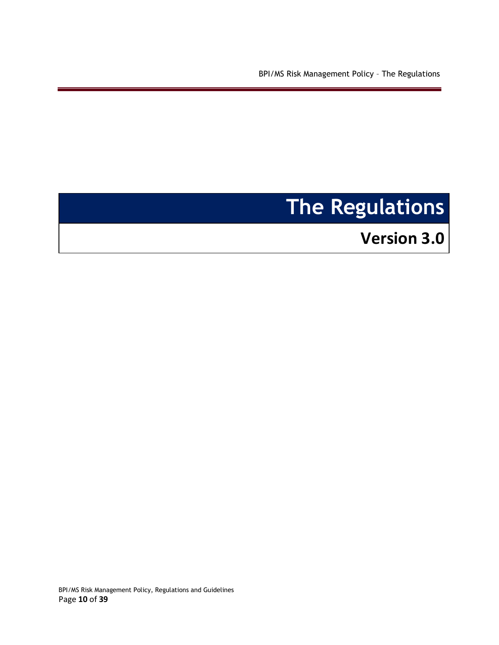BPI/MS Risk Management Policy – The Regulations

# <span id="page-9-0"></span>**The Regulations**

**Version 3.0** 

BPI/MS Risk Management Policy, Regulations and Guidelines Page **10** of **39**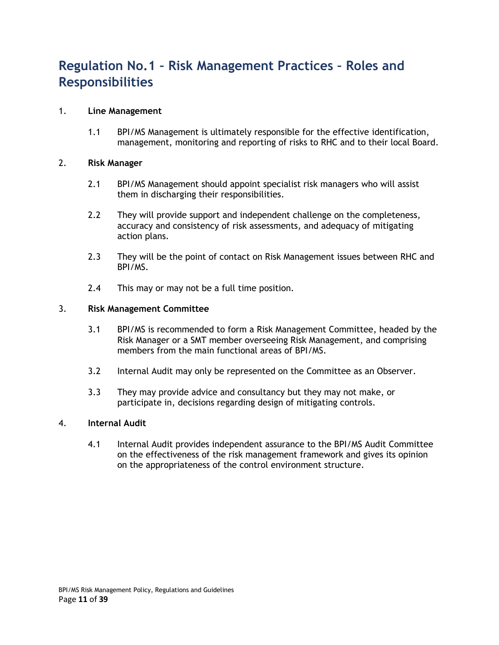# <span id="page-10-0"></span>**Regulation No.1 – Risk Management Practices – Roles and Responsibilities**

#### 1. **Line Management**

1.1 BPI/MS Management is ultimately responsible for the effective identification, management, monitoring and reporting of risks to RHC and to their local Board.

#### 2. **Risk Manager**

- 2.1 BPI/MS Management should appoint specialist risk managers who will assist them in discharging their responsibilities.
- 2.2 They will provide support and independent challenge on the completeness, accuracy and consistency of risk assessments, and adequacy of mitigating action plans.
- 2.3 They will be the point of contact on Risk Management issues between RHC and BPI/MS.
- 2.4 This may or may not be a full time position.

#### 3. **Risk Management Committee**

- 3.1 BPI/MS is recommended to form a Risk Management Committee, headed by the Risk Manager or a SMT member overseeing Risk Management, and comprising members from the main functional areas of BPI/MS.
- 3.2 Internal Audit may only be represented on the Committee as an Observer.
- 3.3 They may provide advice and consultancy but they may not make, or participate in, decisions regarding design of mitigating controls.

#### 4. **Internal Audit**

4.1 Internal Audit provides independent assurance to the BPI/MS Audit Committee on the effectiveness of the risk management framework and gives its opinion on the appropriateness of the control environment structure.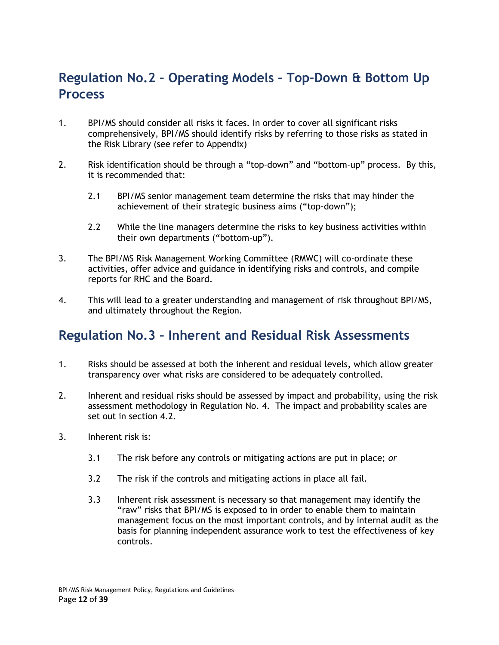# <span id="page-11-0"></span>**Regulation No.2 – Operating Models – Top-Down & Bottom Up Process**

- 1. BPI/MS should consider all risks it faces. In order to cover all significant risks comprehensively, BPI/MS should identify risks by referring to those risks as stated in the Risk Library (see refer to Appendix)
- 2. Risk identification should be through a "top-down" and "bottom-up" process. By this, it is recommended that:
	- 2.1 BPI/MS senior management team determine the risks that may hinder the achievement of their strategic business aims ("top-down");
	- 2.2 While the line managers determine the risks to key business activities within their own departments ("bottom-up").
- 3. The BPI/MS Risk Management Working Committee (RMWC) will co-ordinate these activities, offer advice and guidance in identifying risks and controls, and compile reports for RHC and the Board.
- 4. This will lead to a greater understanding and management of risk throughout BPI/MS, and ultimately throughout the Region.

## <span id="page-11-1"></span>**Regulation No.3 – Inherent and Residual Risk Assessments**

- 1. Risks should be assessed at both the inherent and residual levels, which allow greater transparency over what risks are considered to be adequately controlled.
- 2. Inherent and residual risks should be assessed by impact and probability, using the risk assessment methodology in Regulation No. 4. The impact and probability scales are set out in section 4.2.
- 3. Inherent risk is:
	- 3.1 The risk before any controls or mitigating actions are put in place; *or*
	- 3.2 The risk if the controls and mitigating actions in place all fail.
	- 3.3 Inherent risk assessment is necessary so that management may identify the "raw" risks that BPI/MS is exposed to in order to enable them to maintain management focus on the most important controls, and by internal audit as the basis for planning independent assurance work to test the effectiveness of key controls.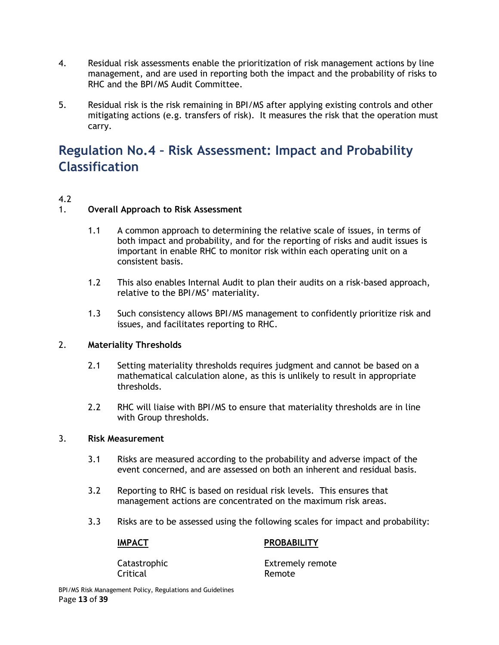- 4. Residual risk assessments enable the prioritization of risk management actions by line management, and are used in reporting both the impact and the probability of risks to RHC and the BPI/MS Audit Committee.
- 5. Residual risk is the risk remaining in BPI/MS after applying existing controls and other mitigating actions (e.g. transfers of risk). It measures the risk that the operation must carry.

# <span id="page-12-0"></span>**Regulation No.4 – Risk Assessment: Impact and Probability Classification**

#### 4.2

#### 1. **Overall Approach to Risk Assessment**

- 1.1 A common approach to determining the relative scale of issues, in terms of both impact and probability, and for the reporting of risks and audit issues is important in enable RHC to monitor risk within each operating unit on a consistent basis.
- 1.2 This also enables Internal Audit to plan their audits on a risk-based approach, relative to the BPI/MS' materiality.
- 1.3 Such consistency allows BPI/MS management to confidently prioritize risk and issues, and facilitates reporting to RHC.

#### 2. **Materiality Thresholds**

- 2.1 Setting materiality thresholds requires judgment and cannot be based on a mathematical calculation alone, as this is unlikely to result in appropriate thresholds.
- 2.2 RHC will liaise with BPI/MS to ensure that materiality thresholds are in line with Group thresholds.

#### 3. **Risk Measurement**

- 3.1 Risks are measured according to the probability and adverse impact of the event concerned, and are assessed on both an inherent and residual basis.
- 3.2 Reporting to RHC is based on residual risk levels. This ensures that management actions are concentrated on the maximum risk areas.
- 3.3 Risks are to be assessed using the following scales for impact and probability:

#### **IMPACT PROBABILITY**

Critical Remote

Catastrophic Extremely remote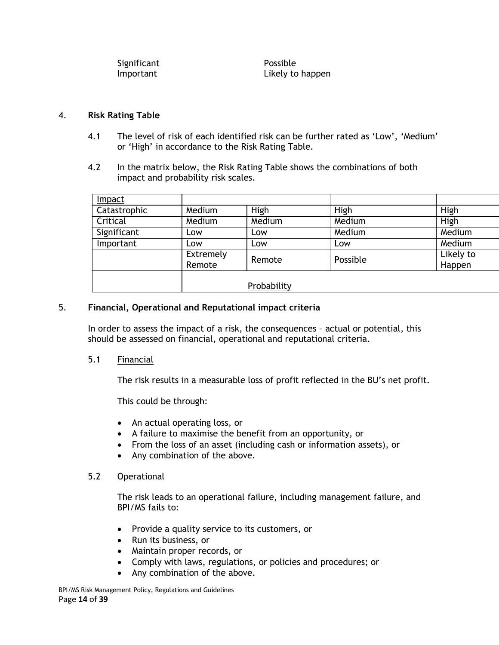| Significant | Possible         |
|-------------|------------------|
| Important   | Likely to happen |

#### 4. **Risk Rating Table**

- 4.1 The level of risk of each identified risk can be further rated as 'Low', 'Medium' or 'High' in accordance to the Risk Rating Table.
- 4.2 In the matrix below, the Risk Rating Table shows the combinations of both impact and probability risk scales.

| Impact       |           |             |          |           |
|--------------|-----------|-------------|----------|-----------|
| Catastrophic | Medium    | High        | High     | High      |
| Critical     | Medium    | Medium      | Medium   | High      |
| Significant  | Low       | Low         | Medium   | Medium    |
| Important    | Low       | Low         | Low      | Medium    |
|              | Extremely | Remote      | Possible | Likely to |
|              | Remote    |             |          | Happen    |
|              |           |             |          |           |
|              |           | Probability |          |           |

#### 5. **Financial, Operational and Reputational impact criteria**

In order to assess the impact of a risk, the consequences – actual or potential, this should be assessed on financial, operational and reputational criteria.

#### 5.1 Financial

The risk results in a measurable loss of profit reflected in the BU's net profit.

This could be through:

- An actual operating loss, or
- A failure to maximise the benefit from an opportunity, or
- From the loss of an asset (including cash or information assets), or
- Any combination of the above.

#### 5.2 Operational

The risk leads to an operational failure, including management failure, and BPI/MS fails to:

- Provide a quality service to its customers, or
- Run its business, or
- Maintain proper records, or
- Comply with laws, regulations, or policies and procedures; or
- Any combination of the above.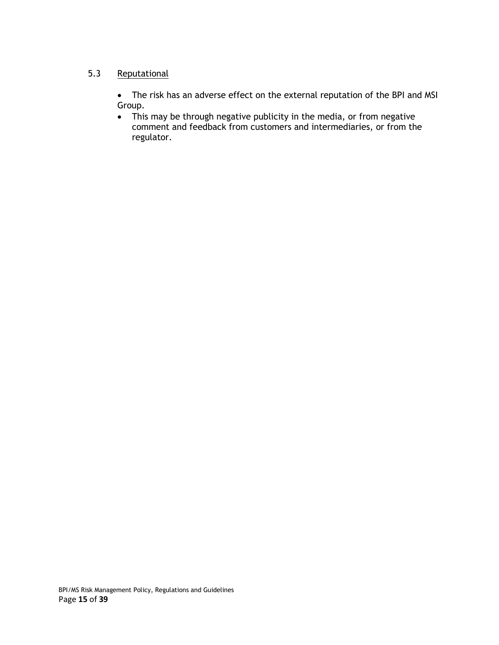#### 5.3 Reputational

 The risk has an adverse effect on the external reputation of the BPI and MSI Group.

 This may be through negative publicity in the media, or from negative comment and feedback from customers and intermediaries, or from the regulator.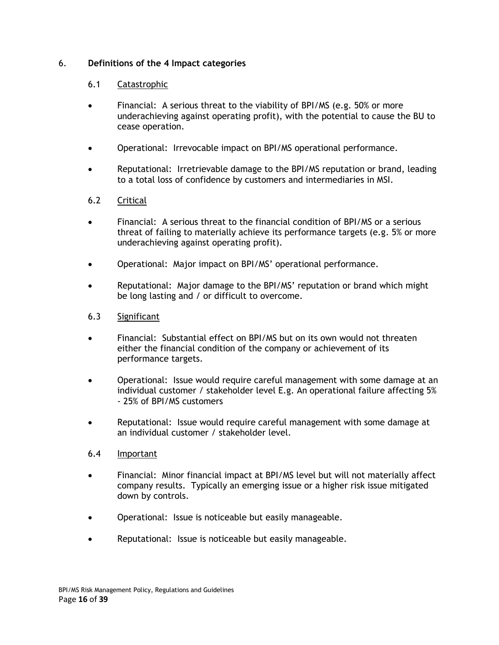#### 6. **Definitions of the 4 Impact categories**

#### 6.1 Catastrophic

- Financial: A serious threat to the viability of BPI/MS (e.g. 50% or more underachieving against operating profit), with the potential to cause the BU to cease operation.
- Operational: Irrevocable impact on BPI/MS operational performance.
- Reputational: Irretrievable damage to the BPI/MS reputation or brand, leading to a total loss of confidence by customers and intermediaries in MSI.

#### 6.2 Critical

- Financial: A serious threat to the financial condition of BPI/MS or a serious threat of failing to materially achieve its performance targets (e.g. 5% or more underachieving against operating profit).
- Operational: Major impact on BPI/MS' operational performance.
- Reputational: Major damage to the BPI/MS' reputation or brand which might be long lasting and / or difficult to overcome.
- 6.3 Significant
- Financial: Substantial effect on BPI/MS but on its own would not threaten either the financial condition of the company or achievement of its performance targets.
- Operational: Issue would require careful management with some damage at an individual customer / stakeholder level E.g. An operational failure affecting 5% - 25% of BPI/MS customers
- Reputational: Issue would require careful management with some damage at an individual customer / stakeholder level.

#### 6.4 Important

- Financial: Minor financial impact at BPI/MS level but will not materially affect company results. Typically an emerging issue or a higher risk issue mitigated down by controls.
- Operational: Issue is noticeable but easily manageable.
- Reputational: Issue is noticeable but easily manageable.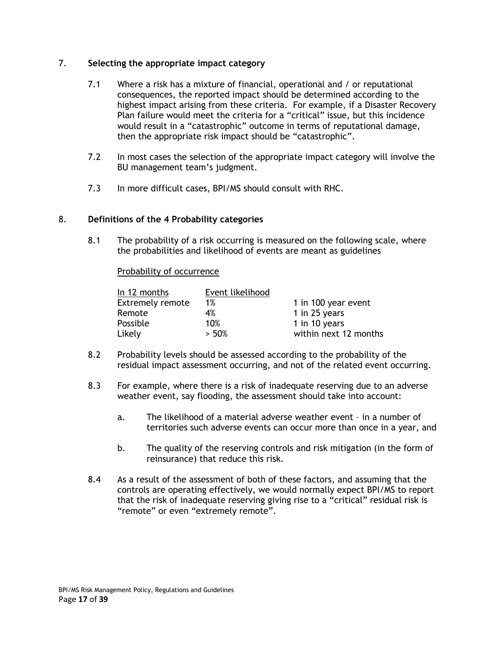#### 7. **Selecting the appropriate impact category**

- 7.1 Where a risk has a mixture of financial, operational and / or reputational consequences, the reported impact should be determined according to the highest impact arising from these criteria. For example, if a Disaster Recovery Plan failure would meet the criteria for a "critical" issue, but this incidence would result in a "catastrophic" outcome in terms of reputational damage, then the appropriate risk impact should be "catastrophic".
- 7.2 In most cases the selection of the appropriate impact category will involve the BU management team's judgment.
- 7.3 In more difficult cases, BPI/MS should consult with RHC.

#### 8. **Definitions of the 4 Probability categories**

8.1 The probability of a risk occurring is measured on the following scale, where the probabilities and likelihood of events are meant as guidelines

#### Probability of occurrence

| In 12 months            | Event likelihood |                       |
|-------------------------|------------------|-----------------------|
| <b>Extremely remote</b> | $1\%$            | 1 in 100 year event   |
| Remote                  | 4%               | 1 in 25 years         |
| Possible                | 10%              | 1 in 10 years         |
| Likely                  | > 50%            | within next 12 months |

- 8.2 Probability levels should be assessed according to the probability of the residual impact assessment occurring, and not of the related event occurring.
- 8.3 For example, where there is a risk of inadequate reserving due to an adverse weather event, say flooding, the assessment should take into account:
	- a. The likelihood of a material adverse weather event in a number of territories such adverse events can occur more than once in a year, and
	- b. The quality of the reserving controls and risk mitigation (in the form of reinsurance) that reduce this risk.
- 8.4 As a result of the assessment of both of these factors, and assuming that the controls are operating effectively, we would normally expect BPI/MS to report that the risk of inadequate reserving giving rise to a "critical" residual risk is "remote" or even "extremely remote".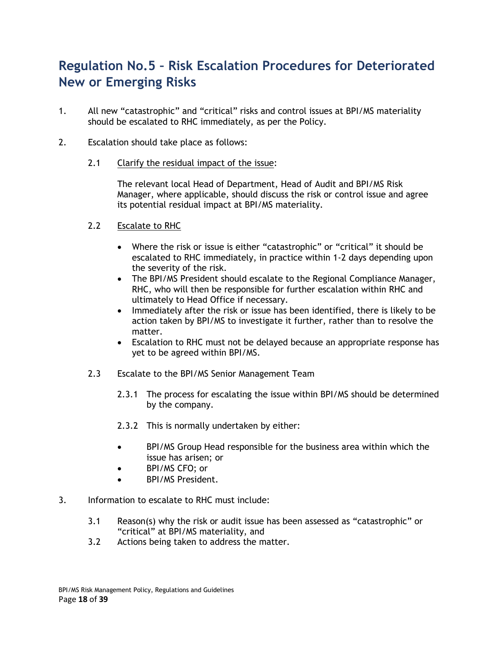# <span id="page-17-0"></span>**Regulation No.5 – Risk Escalation Procedures for Deteriorated New or Emerging Risks**

- 1. All new "catastrophic" and "critical" risks and control issues at BPI/MS materiality should be escalated to RHC immediately, as per the Policy.
- 2. Escalation should take place as follows:
	- 2.1 Clarify the residual impact of the issue:

The relevant local Head of Department, Head of Audit and BPI/MS Risk Manager, where applicable, should discuss the risk or control issue and agree its potential residual impact at BPI/MS materiality.

- 2.2 Escalate to RHC
	- Where the risk or issue is either "catastrophic" or "critical" it should be escalated to RHC immediately, in practice within 1-2 days depending upon the severity of the risk.
	- The BPI/MS President should escalate to the Regional Compliance Manager, RHC, who will then be responsible for further escalation within RHC and ultimately to Head Office if necessary.
	- Immediately after the risk or issue has been identified, there is likely to be action taken by BPI/MS to investigate it further, rather than to resolve the matter.
	- Escalation to RHC must not be delayed because an appropriate response has yet to be agreed within BPI/MS.
- 2.3 Escalate to the BPI/MS Senior Management Team
	- 2.3.1 The process for escalating the issue within BPI/MS should be determined by the company.
	- 2.3.2 This is normally undertaken by either:
	- BPI/MS Group Head responsible for the business area within which the issue has arisen; or
	- BPI/MS CFO; or
	- BPI/MS President.
- 3. Information to escalate to RHC must include:
	- 3.1 Reason(s) why the risk or audit issue has been assessed as "catastrophic" or "critical" at BPI/MS materiality, and
	- 3.2 Actions being taken to address the matter.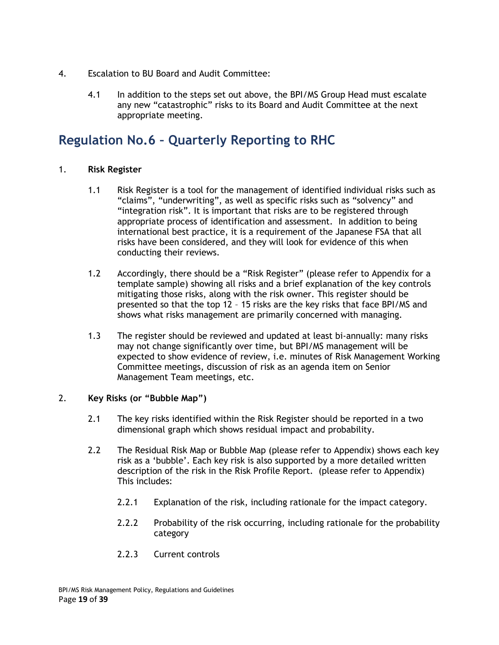- 4. Escalation to BU Board and Audit Committee:
	- 4.1 In addition to the steps set out above, the BPI/MS Group Head must escalate any new "catastrophic" risks to its Board and Audit Committee at the next appropriate meeting.

## <span id="page-18-0"></span>**Regulation No.6 – Quarterly Reporting to RHC**

#### 1. **Risk Register**

- 1.1 Risk Register is a tool for the management of identified individual risks such as "claims", "underwriting", as well as specific risks such as "solvency" and "integration risk". It is important that risks are to be registered through appropriate process of identification and assessment. In addition to being international best practice, it is a requirement of the Japanese FSA that all risks have been considered, and they will look for evidence of this when conducting their reviews.
- 1.2 Accordingly, there should be a "Risk Register" (please refer to Appendix for a template sample) showing all risks and a brief explanation of the key controls mitigating those risks, along with the risk owner. This register should be presented so that the top 12 – 15 risks are the key risks that face BPI/MS and shows what risks management are primarily concerned with managing.
- 1.3 The register should be reviewed and updated at least bi-annually: many risks may not change significantly over time, but BPI/MS management will be expected to show evidence of review, i.e. minutes of Risk Management Working Committee meetings, discussion of risk as an agenda item on Senior Management Team meetings, etc.

#### 2. **Key Risks (or "Bubble Map")**

- 2.1 The key risks identified within the Risk Register should be reported in a two dimensional graph which shows residual impact and probability.
- 2.2 The Residual Risk Map or Bubble Map (please refer to Appendix) shows each key risk as a 'bubble'. Each key risk is also supported by a more detailed written description of the risk in the Risk Profile Report. (please refer to Appendix) This includes:
	- 2.2.1 Explanation of the risk, including rationale for the impact category.
	- 2.2.2 Probability of the risk occurring, including rationale for the probability category
	- 2.2.3 Current controls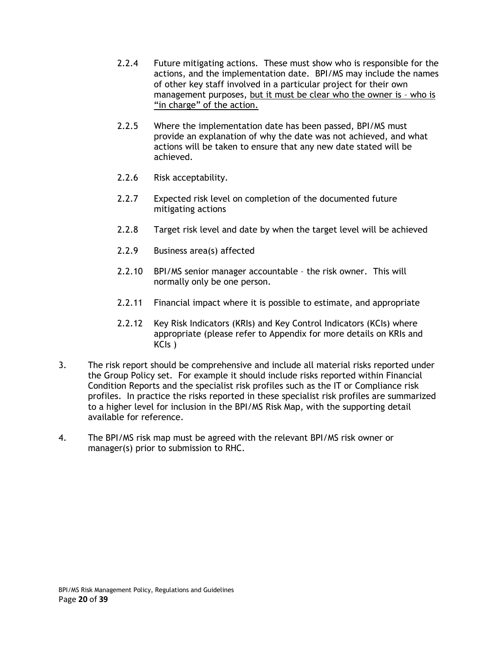- 2.2.4 Future mitigating actions. These must show who is responsible for the actions, and the implementation date. BPI/MS may include the names of other key staff involved in a particular project for their own management purposes, but it must be clear who the owner is – who is "in charge" of the action.
- 2.2.5 Where the implementation date has been passed, BPI/MS must provide an explanation of why the date was not achieved, and what actions will be taken to ensure that any new date stated will be achieved.
- 2.2.6 Risk acceptability.
- 2.2.7 Expected risk level on completion of the documented future mitigating actions
- 2.2.8 Target risk level and date by when the target level will be achieved
- 2.2.9 Business area(s) affected
- 2.2.10 BPI/MS senior manager accountable the risk owner. This will normally only be one person.
- 2.2.11 Financial impact where it is possible to estimate, and appropriate
- 2.2.12 Key Risk Indicators (KRIs) and Key Control Indicators (KCIs) where appropriate (please refer to Appendix for more details on KRIs and KCIs )
- 3. The risk report should be comprehensive and include all material risks reported under the Group Policy set. For example it should include risks reported within Financial Condition Reports and the specialist risk profiles such as the IT or Compliance risk profiles. In practice the risks reported in these specialist risk profiles are summarized to a higher level for inclusion in the BPI/MS Risk Map, with the supporting detail available for reference.
- 4. The BPI/MS risk map must be agreed with the relevant BPI/MS risk owner or manager(s) prior to submission to RHC.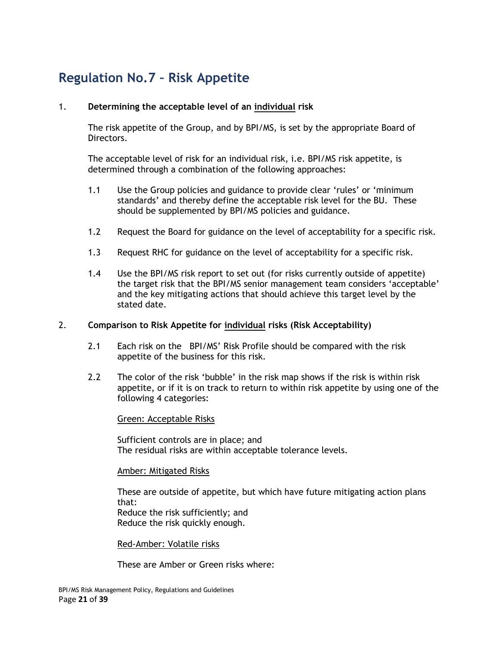# <span id="page-20-0"></span>**Regulation No.7 – Risk Appetite**

#### 1. **Determining the acceptable level of an individual risk**

The risk appetite of the Group, and by BPI/MS, is set by the appropriate Board of Directors.

The acceptable level of risk for an individual risk, i.e. BPI/MS risk appetite, is determined through a combination of the following approaches:

- 1.1 Use the Group policies and guidance to provide clear 'rules' or 'minimum standards' and thereby define the acceptable risk level for the BU. These should be supplemented by BPI/MS policies and guidance.
- 1.2 Request the Board for guidance on the level of acceptability for a specific risk.
- 1.3 Request RHC for guidance on the level of acceptability for a specific risk.
- 1.4 Use the BPI/MS risk report to set out (for risks currently outside of appetite) the target risk that the BPI/MS senior management team considers 'acceptable' and the key mitigating actions that should achieve this target level by the stated date.

#### 2. **Comparison to Risk Appetite for individual risks (Risk Acceptability)**

- 2.1 Each risk on the BPI/MS' Risk Profile should be compared with the risk appetite of the business for this risk.
- 2.2 The color of the risk 'bubble' in the risk map shows if the risk is within risk appetite, or if it is on track to return to within risk appetite by using one of the following 4 categories:

#### Green: Acceptable Risks

Sufficient controls are in place; and The residual risks are within acceptable tolerance levels.

#### Amber: Mitigated Risks

These are outside of appetite, but which have future mitigating action plans that: Reduce the risk sufficiently; and Reduce the risk quickly enough.

Red-Amber: Volatile risks

These are Amber or Green risks where: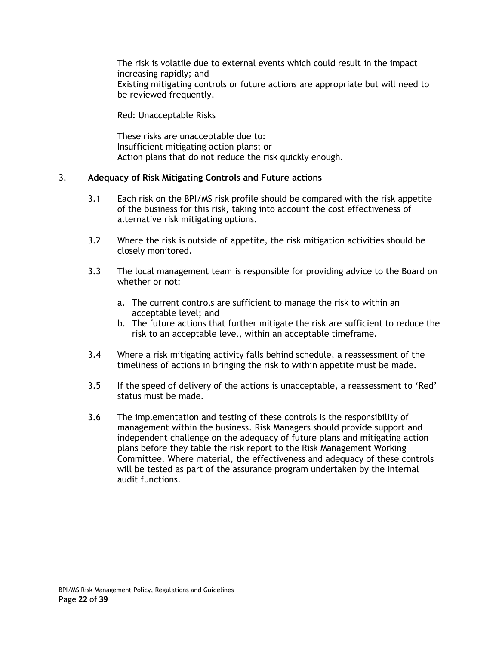The risk is volatile due to external events which could result in the impact increasing rapidly; and Existing mitigating controls or future actions are appropriate but will need to be reviewed frequently.

#### Red: Unacceptable Risks

These risks are unacceptable due to: Insufficient mitigating action plans; or Action plans that do not reduce the risk quickly enough.

#### 3. **Adequacy of Risk Mitigating Controls and Future actions**

- 3.1 Each risk on the BPI/MS risk profile should be compared with the risk appetite of the business for this risk, taking into account the cost effectiveness of alternative risk mitigating options.
- 3.2 Where the risk is outside of appetite, the risk mitigation activities should be closely monitored.
- 3.3 The local management team is responsible for providing advice to the Board on whether or not:
	- a. The current controls are sufficient to manage the risk to within an acceptable level; and
	- b. The future actions that further mitigate the risk are sufficient to reduce the risk to an acceptable level, within an acceptable timeframe.
- 3.4 Where a risk mitigating activity falls behind schedule, a reassessment of the timeliness of actions in bringing the risk to within appetite must be made.
- 3.5 If the speed of delivery of the actions is unacceptable, a reassessment to 'Red' status must be made.
- 3.6 The implementation and testing of these controls is the responsibility of management within the business. Risk Managers should provide support and independent challenge on the adequacy of future plans and mitigating action plans before they table the risk report to the Risk Management Working Committee. Where material, the effectiveness and adequacy of these controls will be tested as part of the assurance program undertaken by the internal audit functions.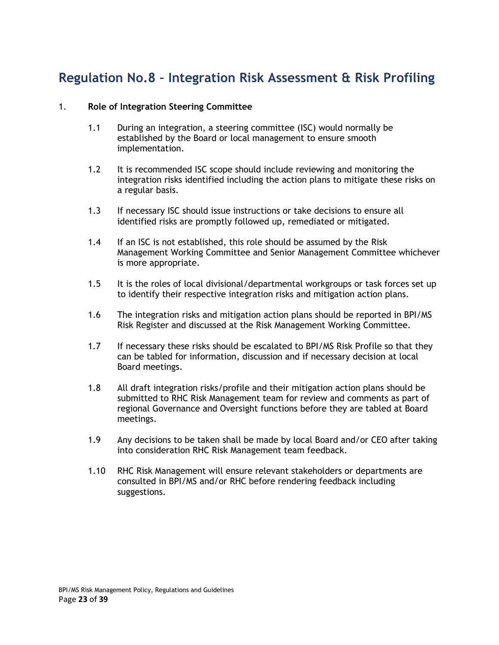# <span id="page-22-0"></span>**Regulation No.8 – Integration Risk Assessment & Risk Profiling**

#### 1. **Role of Integration Steering Committee**

- 1.1 During an integration, a steering committee (ISC) would normally be established by the Board or local management to ensure smooth implementation.
- 1.2 It is recommended ISC scope should include reviewing and monitoring the integration risks identified including the action plans to mitigate these risks on a regular basis.
- 1.3 If necessary ISC should issue instructions or take decisions to ensure all identified risks are promptly followed up, remediated or mitigated.
- 1.4 If an ISC is not established, this role should be assumed by the Risk Management Working Committee and Senior Management Committee whichever is more appropriate.
- 1.5 It is the roles of local divisional/departmental workgroups or task forces set up to identify their respective integration risks and mitigation action plans.
- 1.6 The integration risks and mitigation action plans should be reported in BPI/MS Risk Register and discussed at the Risk Management Working Committee.
- 1.7 If necessary these risks should be escalated to BPI/MS Risk Profile so that they can be tabled for information, discussion and if necessary decision at local Board meetings.
- 1.8 All draft integration risks/profile and their mitigation action plans should be submitted to RHC Risk Management team for review and comments as part of regional Governance and Oversight functions before they are tabled at Board meetings.
- 1.9 Any decisions to be taken shall be made by local Board and/or CEO after taking into consideration RHC Risk Management team feedback.
- 1.10 RHC Risk Management will ensure relevant stakeholders or departments are consulted in BPI/MS and/or RHC before rendering feedback including suggestions.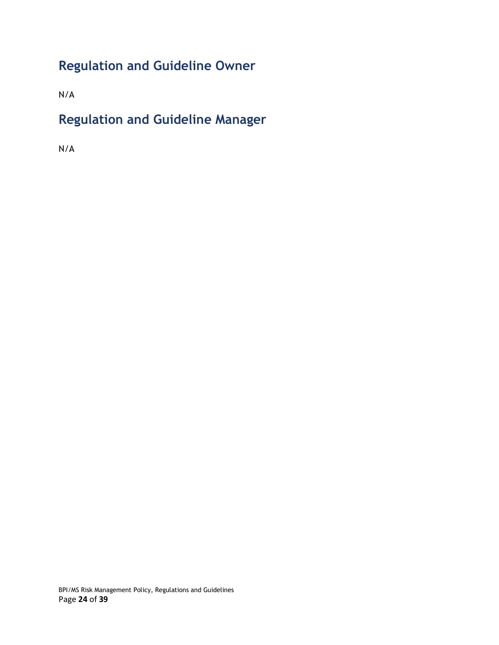# <span id="page-23-0"></span>**Regulation and Guideline Owner**

N/A

# <span id="page-23-1"></span>**Regulation and Guideline Manager**

N/A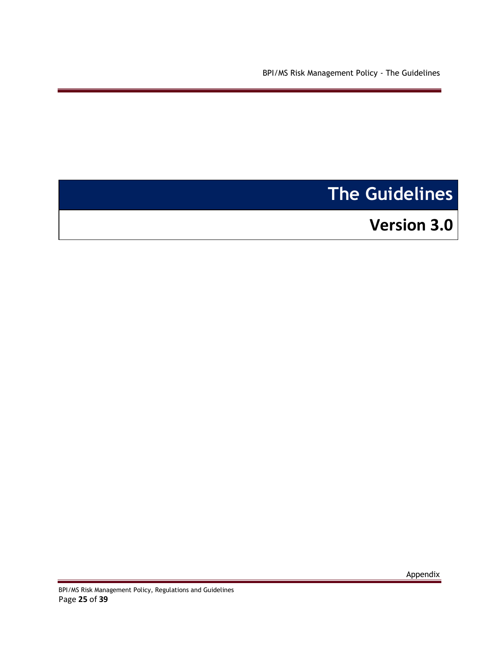<span id="page-24-0"></span>BPI/MS Risk Management Policy - The Guidelines

# **The Guidelines**

**Version 3.0** 

Appendix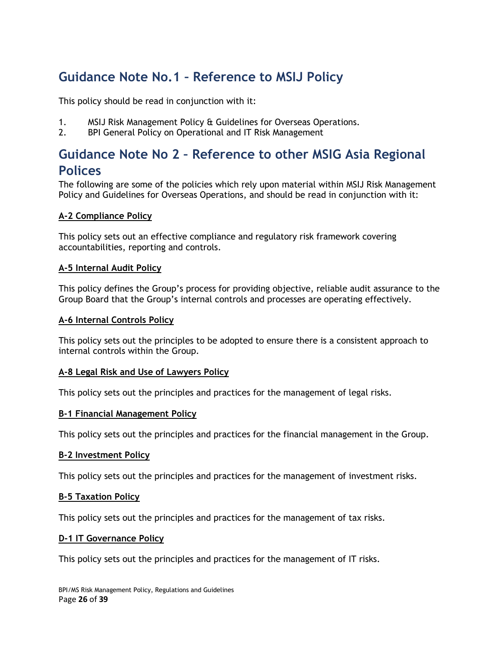# <span id="page-25-0"></span>**Guidance Note No.1 – Reference to MSIJ Policy**

This policy should be read in conjunction with it:

- 1. MSIJ Risk Management Policy & Guidelines for Overseas Operations.
- 2. BPI General Policy on Operational and IT Risk Management

# <span id="page-25-1"></span>**Guidance Note No 2 – Reference to other MSIG Asia Regional Polices**

The following are some of the policies which rely upon material within MSIJ Risk Management Policy and Guidelines for Overseas Operations, and should be read in conjunction with it:

#### **A-2 Compliance Policy**

This policy sets out an effective compliance and regulatory risk framework covering accountabilities, reporting and controls.

#### **A-5 Internal Audit Policy**

This policy defines the Group's process for providing objective, reliable audit assurance to the Group Board that the Group's internal controls and processes are operating effectively.

#### **A-6 Internal Controls Policy**

This policy sets out the principles to be adopted to ensure there is a consistent approach to internal controls within the Group.

#### **A-8 Legal Risk and Use of Lawyers Policy**

This policy sets out the principles and practices for the management of legal risks.

#### **B-1 Financial Management Policy**

This policy sets out the principles and practices for the financial management in the Group.

#### **B-2 Investment Policy**

This policy sets out the principles and practices for the management of investment risks.

#### **B-5 Taxation Policy**

This policy sets out the principles and practices for the management of tax risks.

#### **D-1 IT Governance Policy**

This policy sets out the principles and practices for the management of IT risks.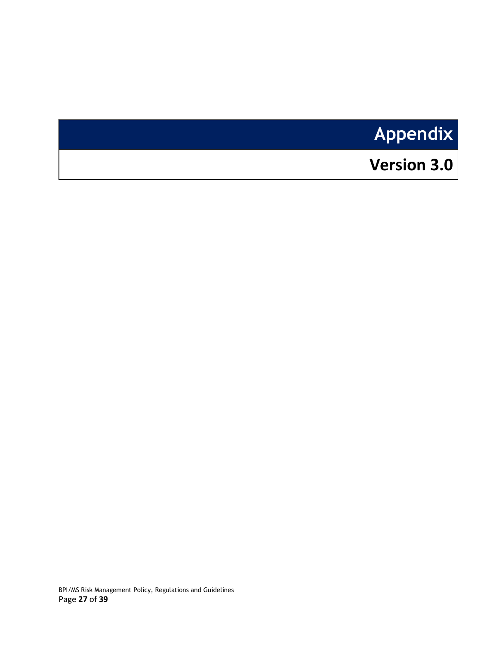# **Appendix**

# <span id="page-26-0"></span>**Version 3.0**

BPI/MS Risk Management Policy, Regulations and Guidelines Page **27** of **39**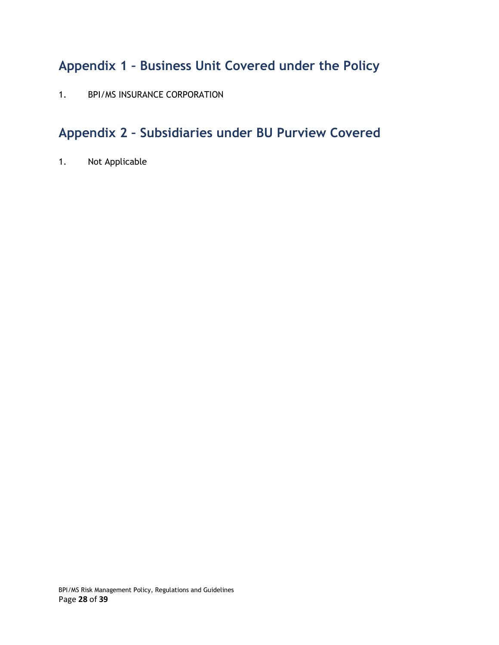# <span id="page-27-0"></span>**Appendix 1 – Business Unit Covered under the Policy**

1. BPI/MS INSURANCE CORPORATION

# <span id="page-27-1"></span>**Appendix 2 – Subsidiaries under BU Purview Covered**

1. Not Applicable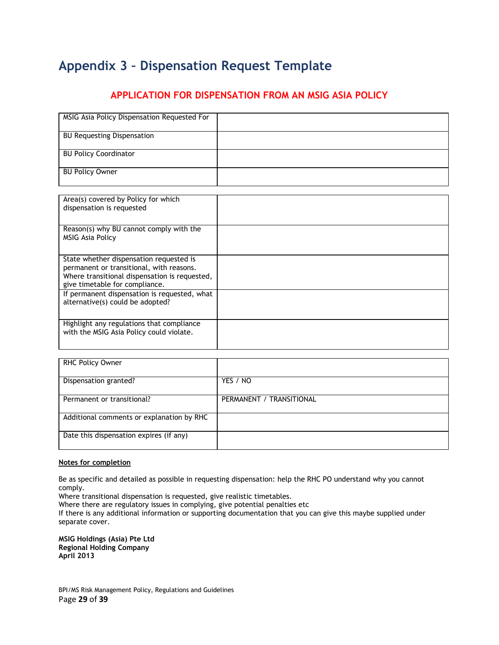# <span id="page-28-0"></span>**Appendix 3 – Dispensation Request Template**

#### **APPLICATION FOR DISPENSATION FROM AN MSIG ASIA POLICY**

| MSIG Asia Policy Dispensation Requested For   |  |
|-----------------------------------------------|--|
| <b>BU Requesting Dispensation</b>             |  |
| <b>BU Policy Coordinator</b>                  |  |
| <b>BU Policy Owner</b>                        |  |
| Area(s) covered by Policy for which           |  |
| dispensation is requested                     |  |
|                                               |  |
| Reason(s) why BU cannot comply with the       |  |
| <b>MSIG Asia Policy</b>                       |  |
|                                               |  |
| State whether dispensation requested is       |  |
| permanent or transitional, with reasons.      |  |
| Where transitional dispensation is requested, |  |
| give timetable for compliance.                |  |
| If permanent dispensation is requested, what  |  |
| alternative(s) could be adopted?              |  |
|                                               |  |
| Highlight any regulations that compliance     |  |
| with the MSIG Asia Policy could violate.      |  |
|                                               |  |
|                                               |  |
| RHC Policy Owner                              |  |

| RHC Policy Owner                          |                          |
|-------------------------------------------|--------------------------|
| Dispensation granted?                     | YES / NO                 |
| Permanent or transitional?                | PERMANENT / TRANSITIONAL |
| Additional comments or explanation by RHC |                          |
| Date this dispensation expires (if any)   |                          |

#### **Notes for completion**

Be as specific and detailed as possible in requesting dispensation: help the RHC PO understand why you cannot comply.

Where transitional dispensation is requested, give realistic timetables.

Where there are regulatory issues in complying, give potential penalties etc

If there is any additional information or supporting documentation that you can give this maybe supplied under separate cover.

**MSIG Holdings (Asia) Pte Ltd Regional Holding Company April 2013**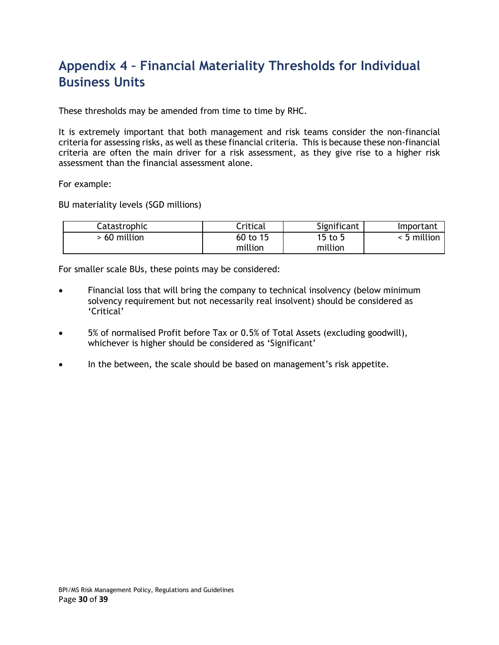# <span id="page-29-0"></span>**Appendix 4 – Financial Materiality Thresholds for Individual Business Units**

These thresholds may be amended from time to time by RHC.

It is extremely important that both management and risk teams consider the non-financial criteria for assessing risks, as well as these financial criteria. This is because these non-financial criteria are often the main driver for a risk assessment, as they give rise to a higher risk assessment than the financial assessment alone.

For example:

BU materiality levels (SGD millions)

| Catastrophic | Critical | Significant | Important   |
|--------------|----------|-------------|-------------|
| 60 million   | 60 to 15 | 15 to 5     | < 5 million |
|              | million  | million     |             |

For smaller scale BUs, these points may be considered:

- Financial loss that will bring the company to technical insolvency (below minimum solvency requirement but not necessarily real insolvent) should be considered as 'Critical'
- 5% of normalised Profit before Tax or 0.5% of Total Assets (excluding goodwill), whichever is higher should be considered as 'Significant'
- In the between, the scale should be based on management's risk appetite.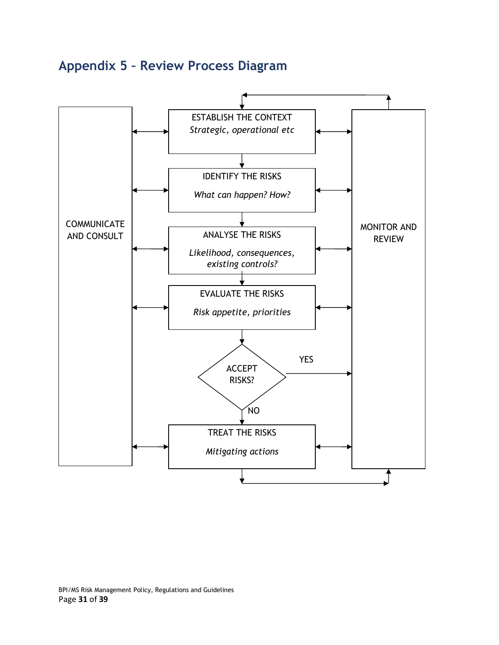# <span id="page-30-0"></span>**Appendix 5 – Review Process Diagram**

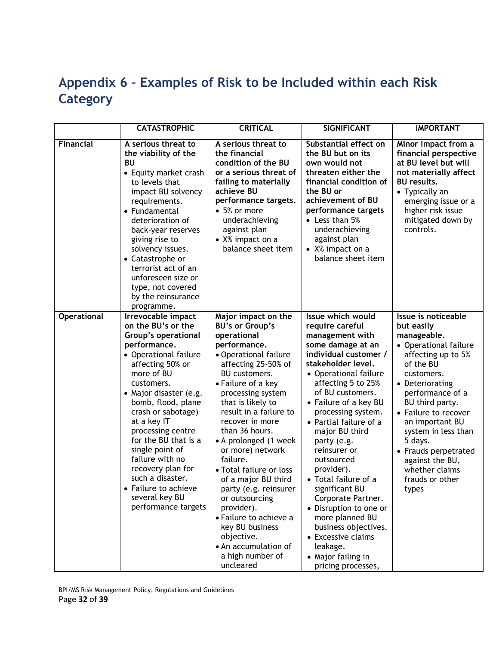# <span id="page-31-0"></span>**Appendix 6 – Examples of Risk to be Included within each Risk Category**

|                    | <b>CATASTROPHIC</b>                                                                                                                                                                                                                                                                                                                                                                                                                               | <b>CRITICAL</b>                                                                                                                                                                                                                                                                                                                                                                                                                                                                                                                                                             | <b>SIGNIFICANT</b>                                                                                                                                                                                                                                                                                                                                                                                                                                                                                                                                                      | <b>IMPORTANT</b>                                                                                                                                                                                                                                                                                                                                           |
|--------------------|---------------------------------------------------------------------------------------------------------------------------------------------------------------------------------------------------------------------------------------------------------------------------------------------------------------------------------------------------------------------------------------------------------------------------------------------------|-----------------------------------------------------------------------------------------------------------------------------------------------------------------------------------------------------------------------------------------------------------------------------------------------------------------------------------------------------------------------------------------------------------------------------------------------------------------------------------------------------------------------------------------------------------------------------|-------------------------------------------------------------------------------------------------------------------------------------------------------------------------------------------------------------------------------------------------------------------------------------------------------------------------------------------------------------------------------------------------------------------------------------------------------------------------------------------------------------------------------------------------------------------------|------------------------------------------------------------------------------------------------------------------------------------------------------------------------------------------------------------------------------------------------------------------------------------------------------------------------------------------------------------|
| Financial          | A serious threat to<br>the viability of the<br><b>BU</b><br>• Equity market crash<br>to levels that<br>impact BU solvency<br>requirements.<br>• Fundamental<br>deterioration of<br>back-year reserves<br>giving rise to<br>solvency issues.<br>• Catastrophe or<br>terrorist act of an<br>unforeseen size or<br>type, not covered<br>by the reinsurance<br>programme.                                                                             | A serious threat to<br>the financial<br>condition of the BU<br>or a serious threat of<br>failing to materially<br>achieve BU<br>performance targets.<br>$\bullet$ 5% or more<br>underachieving<br>against plan<br>• X% impact on a<br>balance sheet item                                                                                                                                                                                                                                                                                                                    | Substantial effect on<br>the BU but on its<br>own would not<br>threaten either the<br>financial condition of<br>the BU or<br>achievement of BU<br>performance targets<br>• Less than 5%<br>underachieving<br>against plan<br>$\bullet$ X% impact on a<br>balance sheet item                                                                                                                                                                                                                                                                                             | Minor impact from a<br>financial perspective<br>at BU level but will<br>not materially affect<br><b>BU</b> results.<br>• Typically an<br>emerging issue or a<br>higher risk issue<br>mitigated down by<br>controls.                                                                                                                                        |
| <b>Operational</b> | <b>Irrevocable impact</b><br>on the BU's or the<br>Group's operational<br>performance.<br>• Operational failure<br>affecting 50% or<br>more of BU<br>customers.<br>• Major disaster (e.g.<br>bomb, flood, plane<br>crash or sabotage)<br>at a key IT<br>processing centre<br>for the BU that is a<br>single point of<br>failure with no<br>recovery plan for<br>such a disaster.<br>• Failure to achieve<br>several key BU<br>performance targets | Major impact on the<br><b>BU's or Group's</b><br>operational<br>performance.<br>• Operational failure<br>affecting 25-50% of<br><b>BU</b> customers.<br>• Failure of a key<br>processing system<br>that is likely to<br>result in a failure to<br>recover in more<br>than 36 hours.<br>• A prolonged (1 week<br>or more) network<br>failure.<br>• Total failure or loss<br>of a major BU third<br>party (e.g. reinsurer<br>or outsourcing<br>provider).<br>• Failure to achieve a<br>key BU business<br>objective.<br>• An accumulation of<br>a high number of<br>uncleared | Issue which would<br>require careful<br>management with<br>some damage at an<br>individual customer /<br>stakeholder level.<br>• Operational failure<br>affecting 5 to 25%<br>of BU customers.<br>• Failure of a key BU<br>processing system.<br>• Partial failure of a<br>major BU third<br>party (e.g.<br>reinsurer or<br>outsourced<br>provider).<br>• Total failure of a<br>significant BU<br>Corporate Partner.<br>• Disruption to one or<br>more planned BU<br>business objectives.<br>• Excessive claims<br>leakage.<br>• Major failing in<br>pricing processes, | Issue is noticeable<br>but easily<br>manageable.<br>• Operational failure<br>affecting up to 5%<br>of the BU<br>customers.<br>• Deteriorating<br>performance of a<br>BU third party.<br>• Failure to recover<br>an important BU<br>system in less than<br>5 days.<br>• Frauds perpetrated<br>against the BU,<br>whether claims<br>frauds or other<br>types |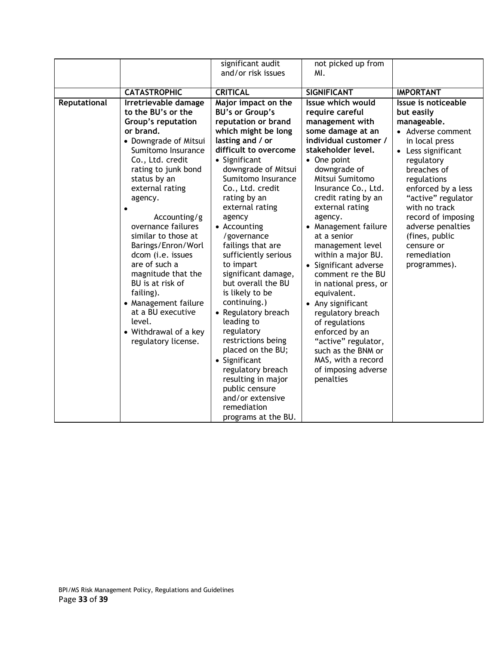|              |                       | significant audit               | not picked up from                     |                                     |
|--------------|-----------------------|---------------------------------|----------------------------------------|-------------------------------------|
|              |                       | and/or risk issues              | MI.                                    |                                     |
|              |                       |                                 |                                        |                                     |
|              | <b>CATASTROPHIC</b>   | <b>CRITICAL</b>                 | <b>SIGNIFICANT</b>                     | <b>IMPORTANT</b>                    |
| Reputational | Irretrievable damage  | Major impact on the             | Issue which would                      | Issue is noticeable                 |
|              | to the BU's or the    | <b>BU's or Group's</b>          | require careful                        | but easily                          |
|              | Group's reputation    | reputation or brand             | management with                        | manageable.                         |
|              | or brand.             | which might be long             | some damage at an                      | • Adverse comment                   |
|              | • Downgrade of Mitsui | lasting and / or                | individual customer /                  | in local press                      |
|              | Sumitomo Insurance    | difficult to overcome           | stakeholder level.                     | • Less significant                  |
|              | Co., Ltd. credit      | • Significant                   | • One point                            | regulatory                          |
|              | rating to junk bond   | downgrade of Mitsui             | downgrade of                           | breaches of                         |
|              | status by an          | Sumitomo Insurance              | Mitsui Sumitomo                        | regulations                         |
|              | external rating       | Co., Ltd. credit                | Insurance Co., Ltd.                    | enforced by a less                  |
|              | agency.               | rating by an<br>external rating | credit rating by an<br>external rating | "active" regulator<br>with no track |
|              | Accounting/g          | agency                          | agency.                                | record of imposing                  |
|              | overnance failures    | • Accounting                    | • Management failure                   | adverse penalties                   |
|              | similar to those at   | /governance                     | at a senior                            | (fines, public                      |
|              | Barings/Enron/Worl    | failings that are               | management level                       | censure or                          |
|              | dcom (i.e. issues     | sufficiently serious            | within a major BU.                     | remediation                         |
|              | are of such a         | to impart                       | • Significant adverse                  | programmes).                        |
|              | magnitude that the    | significant damage,             | comment re the BU                      |                                     |
|              | BU is at risk of      | but overall the BU              | in national press, or                  |                                     |
|              | failing).             | is likely to be                 | equivalent.                            |                                     |
|              | • Management failure  | continuing.)                    | • Any significant                      |                                     |
|              | at a BU executive     | • Regulatory breach             | regulatory breach                      |                                     |
|              | level.                | leading to                      | of regulations                         |                                     |
|              | • Withdrawal of a key | regulatory                      | enforced by an                         |                                     |
|              | regulatory license.   | restrictions being              | "active" regulator,                    |                                     |
|              |                       | placed on the BU;               | such as the BNM or                     |                                     |
|              |                       | • Significant                   | MAS, with a record                     |                                     |
|              |                       | regulatory breach               | of imposing adverse                    |                                     |
|              |                       | resulting in major              | penalties                              |                                     |
|              |                       | public censure                  |                                        |                                     |
|              |                       | and/or extensive                |                                        |                                     |
|              |                       | remediation                     |                                        |                                     |
|              |                       | programs at the BU.             |                                        |                                     |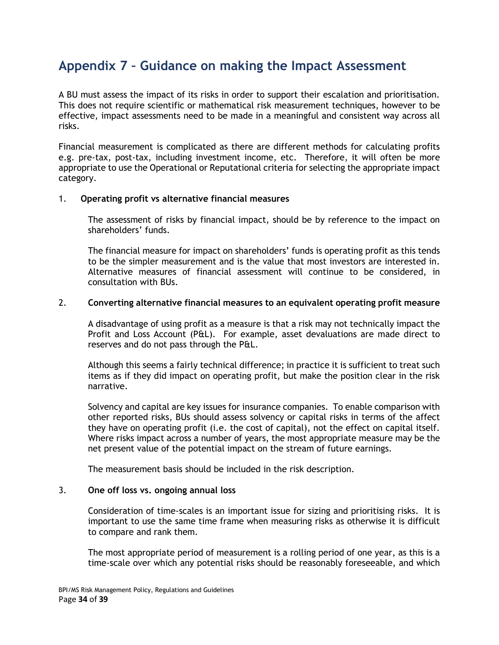# <span id="page-33-0"></span>**Appendix 7 – Guidance on making the Impact Assessment**

A BU must assess the impact of its risks in order to support their escalation and prioritisation. This does not require scientific or mathematical risk measurement techniques, however to be effective, impact assessments need to be made in a meaningful and consistent way across all risks.

Financial measurement is complicated as there are different methods for calculating profits e.g. pre-tax, post-tax, including investment income, etc. Therefore, it will often be more appropriate to use the Operational or Reputational criteria for selecting the appropriate impact category.

#### 1. **Operating profit vs alternative financial measures**

The assessment of risks by financial impact, should be by reference to the impact on shareholders' funds.

The financial measure for impact on shareholders' funds is operating profit as this tends to be the simpler measurement and is the value that most investors are interested in. Alternative measures of financial assessment will continue to be considered, in consultation with BUs.

#### 2. **Converting alternative financial measures to an equivalent operating profit measure**

A disadvantage of using profit as a measure is that a risk may not technically impact the Profit and Loss Account (P&L). For example, asset devaluations are made direct to reserves and do not pass through the P&L.

Although this seems a fairly technical difference; in practice it is sufficient to treat such items as if they did impact on operating profit, but make the position clear in the risk narrative.

Solvency and capital are key issues for insurance companies. To enable comparison with other reported risks, BUs should assess solvency or capital risks in terms of the affect they have on operating profit (i.e. the cost of capital), not the effect on capital itself. Where risks impact across a number of years, the most appropriate measure may be the net present value of the potential impact on the stream of future earnings.

The measurement basis should be included in the risk description.

#### 3. **One off loss vs. ongoing annual loss**

Consideration of time-scales is an important issue for sizing and prioritising risks. It is important to use the same time frame when measuring risks as otherwise it is difficult to compare and rank them.

The most appropriate period of measurement is a rolling period of one year, as this is a time-scale over which any potential risks should be reasonably foreseeable, and which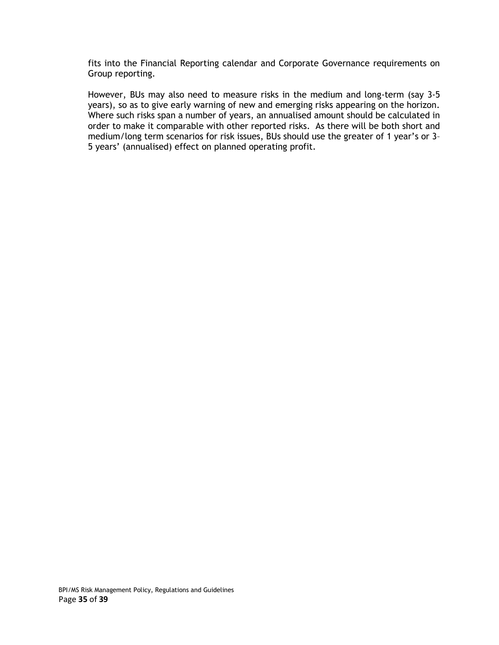fits into the Financial Reporting calendar and Corporate Governance requirements on Group reporting.

However, BUs may also need to measure risks in the medium and long-term (say 3-5 years), so as to give early warning of new and emerging risks appearing on the horizon. Where such risks span a number of years, an annualised amount should be calculated in order to make it comparable with other reported risks. As there will be both short and medium/long term scenarios for risk issues, BUs should use the greater of 1 year's or 3– 5 years' (annualised) effect on planned operating profit.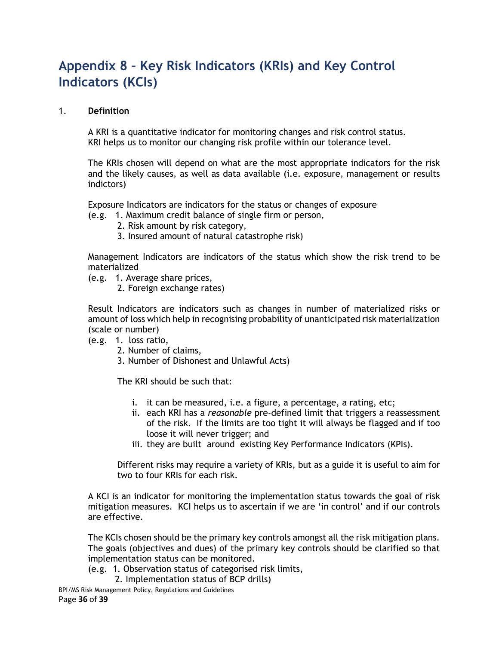# <span id="page-35-0"></span>**Appendix 8 – Key Risk Indicators (KRIs) and Key Control Indicators (KCIs)**

#### 1. **Definition**

A KRI is a quantitative indicator for monitoring changes and risk control status. KRI helps us to monitor our changing risk profile within our tolerance level.

The KRIs chosen will depend on what are the most appropriate indicators for the risk and the likely causes, as well as data available (i.e. exposure, management or results indictors)

Exposure Indicators are indicators for the status or changes of exposure

(e.g. 1. Maximum credit balance of single firm or person,

- 2. Risk amount by risk category,
- 3. Insured amount of natural catastrophe risk)

Management Indicators are indicators of the status which show the risk trend to be materialized

- (e.g. 1. Average share prices,
	- 2. Foreign exchange rates)

Result Indicators are indicators such as changes in number of materialized risks or amount of loss which help in recognising probability of unanticipated risk materialization (scale or number)

- (e.g. 1. loss ratio,
	- 2. Number of claims,
	- 3. Number of Dishonest and Unlawful Acts)

The KRI should be such that:

- i. it can be measured, i.e. a figure, a percentage, a rating, etc;
- ii. each KRI has a *reasonable* pre-defined limit that triggers a reassessment of the risk. If the limits are too tight it will always be flagged and if too loose it will never trigger; and
- iii. they are built around existing Key Performance Indicators (KPIs).

Different risks may require a variety of KRIs, but as a guide it is useful to aim for two to four KRIs for each risk.

A KCI is an indicator for monitoring the implementation status towards the goal of risk mitigation measures. KCI helps us to ascertain if we are 'in control' and if our controls are effective.

The KCIs chosen should be the primary key controls amongst all the risk mitigation plans. The goals (objectives and dues) of the primary key controls should be clarified so that implementation status can be monitored.

- (e.g. 1. Observation status of categorised risk limits,
	- 2. Implementation status of BCP drills)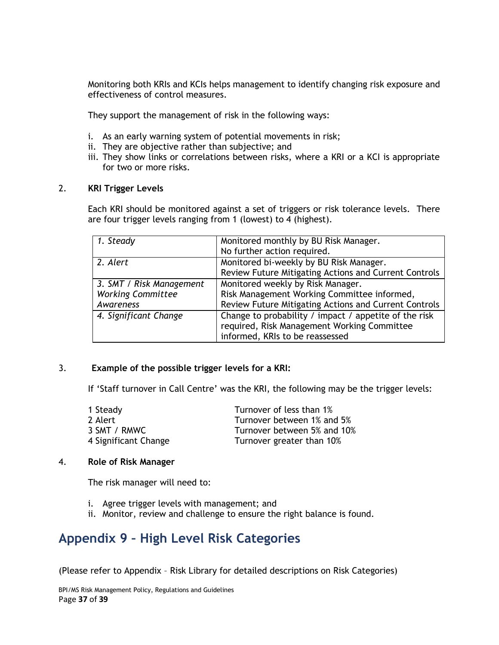Monitoring both KRIs and KCIs helps management to identify changing risk exposure and effectiveness of control measures.

They support the management of risk in the following ways:

- i. As an early warning system of potential movements in risk;
- ii. They are objective rather than subjective; and
- iii. They show links or correlations between risks, where a KRI or a KCI is appropriate for two or more risks.

#### 2. **KRI Trigger Levels**

Each KRI should be monitored against a set of triggers or risk tolerance levels. There are four trigger levels ranging from 1 (lowest) to 4 (highest).

| 1. Steady                | Monitored monthly by BU Risk Manager.                 |
|--------------------------|-------------------------------------------------------|
|                          | No further action required.                           |
| 2. Alert                 | Monitored bi-weekly by BU Risk Manager.               |
|                          | Review Future Mitigating Actions and Current Controls |
| 3. SMT / Risk Management | Monitored weekly by Risk Manager.                     |
| <b>Working Committee</b> | Risk Management Working Committee informed,           |
| Awareness                | Review Future Mitigating Actions and Current Controls |
| 4. Significant Change    | Change to probability / impact / appetite of the risk |
|                          | required, Risk Management Working Committee           |
|                          | informed, KRIs to be reassessed                       |

#### 3. **Example of the possible trigger levels for a KRI:**

If 'Staff turnover in Call Centre' was the KRI, the following may be the trigger levels:

| 1 Steady             | Turnover of less than 1%    |
|----------------------|-----------------------------|
| 2 Alert              | Turnover between 1% and 5%  |
| 3 SMT / RMWC         | Turnover between 5% and 10% |
| 4 Significant Change | Turnover greater than 10%   |

#### 4. **Role of Risk Manager**

The risk manager will need to:

- i. Agree trigger levels with management; and
- ii. Monitor, review and challenge to ensure the right balance is found.

### <span id="page-36-0"></span>**Appendix 9 – High Level Risk Categories**

(Please refer to Appendix – Risk Library for detailed descriptions on Risk Categories)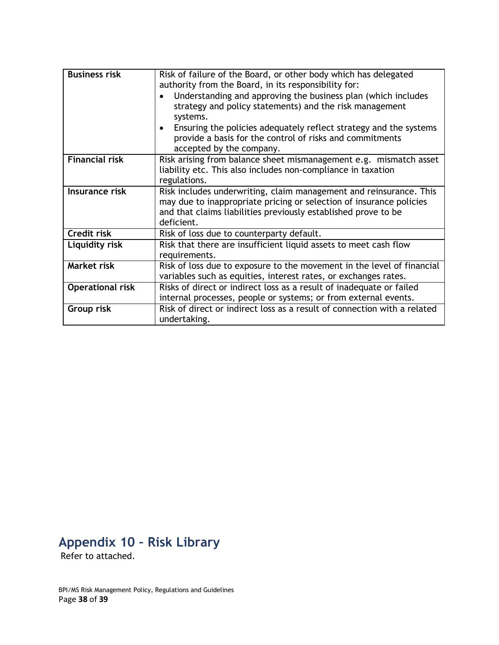| <b>Business risk</b>    | Risk of failure of the Board, or other body which has delegated<br>authority from the Board, in its responsibility for:<br>Understanding and approving the business plan (which includes<br>strategy and policy statements) and the risk management<br>systems.<br>Ensuring the policies adequately reflect strategy and the systems<br>provide a basis for the control of risks and commitments<br>accepted by the company. |
|-------------------------|------------------------------------------------------------------------------------------------------------------------------------------------------------------------------------------------------------------------------------------------------------------------------------------------------------------------------------------------------------------------------------------------------------------------------|
| <b>Financial risk</b>   | Risk arising from balance sheet mismanagement e.g. mismatch asset<br>liability etc. This also includes non-compliance in taxation<br>regulations.                                                                                                                                                                                                                                                                            |
| Insurance risk          | Risk includes underwriting, claim management and reinsurance. This<br>may due to inappropriate pricing or selection of insurance policies<br>and that claims liabilities previously established prove to be<br>deficient.                                                                                                                                                                                                    |
| Credit risk             | Risk of loss due to counterparty default.                                                                                                                                                                                                                                                                                                                                                                                    |
| Liquidity risk          | Risk that there are insufficient liquid assets to meet cash flow<br>requirements.                                                                                                                                                                                                                                                                                                                                            |
| Market risk             | Risk of loss due to exposure to the movement in the level of financial<br>variables such as equities, interest rates, or exchanges rates.                                                                                                                                                                                                                                                                                    |
| <b>Operational risk</b> | Risks of direct or indirect loss as a result of inadequate or failed<br>internal processes, people or systems; or from external events.                                                                                                                                                                                                                                                                                      |
| Group risk              | Risk of direct or indirect loss as a result of connection with a related<br>undertaking.                                                                                                                                                                                                                                                                                                                                     |

# <span id="page-37-0"></span>**Appendix 10 – Risk Library**

Refer to attached.